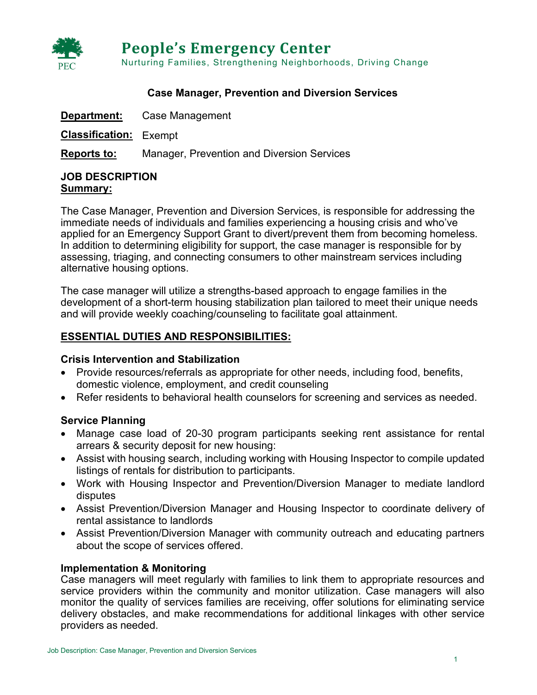

#### **Case Manager, Prevention and Diversion Services**

| Department:                   | Case Management                                   |
|-------------------------------|---------------------------------------------------|
| <b>Classification:</b> Exempt |                                                   |
| Reports to:                   | <b>Manager, Prevention and Diversion Services</b> |

#### **JOB DESCRIPTION Summary:**

The Case Manager, Prevention and Diversion Services, is responsible for addressing the immediate needs of individuals and families experiencing a housing crisis and who've applied for an Emergency Support Grant to divert/prevent them from becoming homeless. In addition to determining eligibility for support, the case manager is responsible for by assessing, triaging, and connecting consumers to other mainstream services including alternative housing options.

The case manager will utilize a strengths-based approach to engage families in the development of a short-term housing stabilization plan tailored to meet their unique needs and will provide weekly coaching/counseling to facilitate goal attainment.

## **ESSENTIAL DUTIES AND RESPONSIBILITIES:**

#### **Crisis Intervention and Stabilization**

- Provide resources/referrals as appropriate for other needs, including food, benefits, domestic violence, employment, and credit counseling
- Refer residents to behavioral health counselors for screening and services as needed.

#### **Service Planning**

- Manage case load of 20-30 program participants seeking rent assistance for rental arrears & security deposit for new housing:
- Assist with housing search, including working with Housing Inspector to compile updated listings of rentals for distribution to participants.
- Work with Housing Inspector and Prevention/Diversion Manager to mediate landlord disputes
- Assist Prevention/Diversion Manager and Housing Inspector to coordinate delivery of rental assistance to landlords
- Assist Prevention/Diversion Manager with community outreach and educating partners about the scope of services offered.

## **Implementation & Monitoring**

Case managers will meet regularly with families to link them to appropriate resources and service providers within the community and monitor utilization. Case managers will also monitor the quality of services families are receiving, offer solutions for eliminating service delivery obstacles, and make recommendations for additional linkages with other service providers as needed.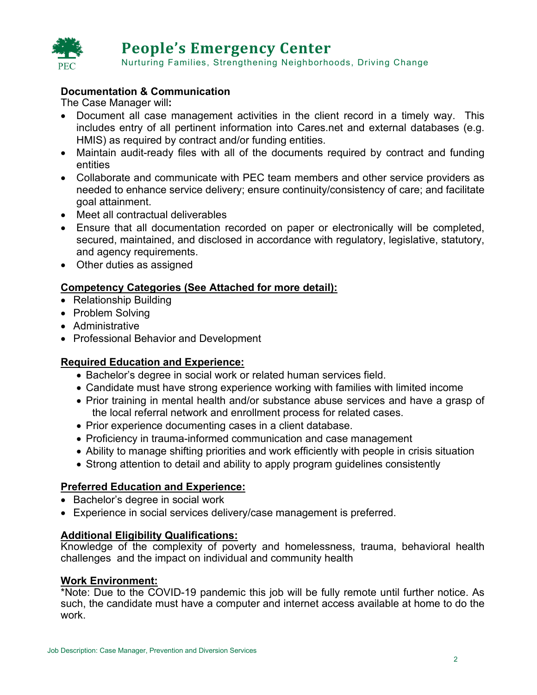

# **Documentation & Communication**

The Case Manager will**:**

- Document all case management activities in the client record in a timely way. This includes entry of all pertinent information into Cares.net and external databases (e.g. HMIS) as required by contract and/or funding entities.
- Maintain audit-ready files with all of the documents required by contract and funding entities
- Collaborate and communicate with PEC team members and other service providers as needed to enhance service delivery; ensure continuity/consistency of care; and facilitate goal attainment.
- Meet all contractual deliverables
- Ensure that all documentation recorded on paper or electronically will be completed, secured, maintained, and disclosed in accordance with regulatory, legislative, statutory, and agency requirements.
- Other duties as assigned

## **Competency Categories (See Attached for more detail):**

- Relationship Building
- Problem Solving
- Administrative
- Professional Behavior and Development

## **Required Education and Experience:**

- Bachelor's degree in social work or related human services field.
- Candidate must have strong experience working with families with limited income
- Prior training in mental health and/or substance abuse services and have a grasp of the local referral network and enrollment process for related cases.
- Prior experience documenting cases in a client database.
- Proficiency in trauma-informed communication and case management
- Ability to manage shifting priorities and work efficiently with people in crisis situation
- Strong attention to detail and ability to apply program guidelines consistently

## **Preferred Education and Experience:**

- Bachelor's degree in social work
- Experience in social services delivery/case management is preferred.

## **Additional Eligibility Qualifications:**

Knowledge of the complexity of poverty and homelessness, trauma, behavioral health challenges and the impact on individual and community health

## **Work Environment:**

\*Note: Due to the COVID-19 pandemic this job will be fully remote until further notice. As such, the candidate must have a computer and internet access available at home to do the work.